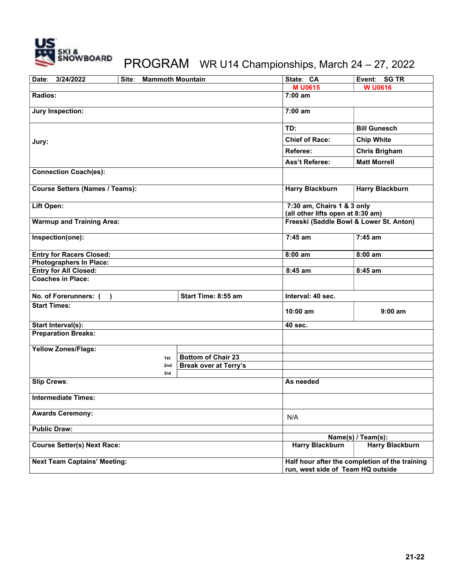

## PROGRAM WR U14 Championships, March 24 – 27, 2022

| Date:<br>3/24/2022<br><b>Mammoth Mountain</b><br>Site: |                              | State: CA                                                                           | Event: SG TR           |
|--------------------------------------------------------|------------------------------|-------------------------------------------------------------------------------------|------------------------|
|                                                        |                              | <b>MU0615</b>                                                                       | <b>W U0616</b>         |
| Radios:                                                |                              | $7:00$ am                                                                           |                        |
| <b>Jury Inspection:</b>                                |                              | 7:00 am                                                                             |                        |
|                                                        |                              | TD:                                                                                 | <b>Bill Gunesch</b>    |
| Jury:                                                  |                              | <b>Chief of Race:</b>                                                               | <b>Chip White</b>      |
|                                                        |                              | Referee:                                                                            | <b>Chris Brigham</b>   |
|                                                        |                              | <b>Ass't Referee:</b>                                                               | <b>Matt Morrell</b>    |
| <b>Connection Coach(es):</b>                           |                              |                                                                                     |                        |
| <b>Course Setters (Names / Teams):</b>                 |                              | <b>Harry Blackburn</b>                                                              | <b>Harry Blackburn</b> |
| Lift Open:                                             |                              | 7:30 am, Chairs 1 & 3 only<br>(all other lifts open at 8:30 am)                     |                        |
| <b>Warmup and Training Area:</b>                       |                              | Freeski (Saddle Bowl & Lower St. Anton)                                             |                        |
| Inspection(one):                                       |                              | $7:45$ am                                                                           | $7:45$ am              |
| <b>Entry for Racers Closed:</b>                        |                              | $8:00$ am                                                                           | 8:00 am                |
| <b>Photographers In Place:</b>                         |                              |                                                                                     |                        |
| <b>Entry for All Closed:</b>                           |                              | 8:45 am                                                                             | 8:45 am                |
| <b>Coaches in Place:</b>                               |                              |                                                                                     |                        |
| No. of Forerunners: (<br>$\lambda$                     | Start Time: 8:55 am          | Interval: 40 sec.                                                                   |                        |
| <b>Start Times:</b>                                    |                              | $10:00$ am                                                                          | $9:00$ am              |
| Start Interval(s):                                     |                              | 40 sec.                                                                             |                        |
| <b>Preparation Breaks:</b>                             |                              |                                                                                     |                        |
| <b>Yellow Zones/Flags:</b>                             |                              |                                                                                     |                        |
| 1st                                                    | <b>Bottom of Chair 23</b>    |                                                                                     |                        |
| 2nd                                                    | <b>Break over at Terry's</b> |                                                                                     |                        |
| 3rd                                                    |                              |                                                                                     |                        |
| <b>Slip Crews:</b>                                     |                              | As needed                                                                           |                        |
| <b>Intermediate Times:</b>                             |                              |                                                                                     |                        |
| <b>Awards Ceremony:</b>                                |                              | N/A                                                                                 |                        |
| <b>Public Draw:</b>                                    |                              |                                                                                     |                        |
|                                                        |                              | Name(s) / Team(s):                                                                  |                        |
| <b>Course Setter(s) Next Race:</b>                     |                              | <b>Harry Blackburn</b>                                                              | <b>Harry Blackburn</b> |
| <b>Next Team Captains' Meeting:</b>                    |                              | Half hour after the completion of the training<br>run, west side of Team HQ outside |                        |